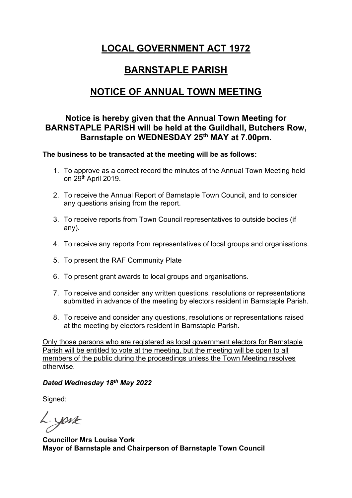# **LOCAL GOVERNMENT ACT 1972**

# **BARNSTAPLE PARISH**

### **NOTICE OF ANNUAL TOWN MEETING**

### **Notice is hereby given that the Annual Town Meeting for BARNSTAPLE PARISH will be held at the Guildhall, Butchers Row, Barnstaple on WEDNESDAY 25th MAY at 7.00pm.**

### **The business to be transacted at the meeting will be as follows:**

- 1. To approve as a correct record the minutes of the Annual Town Meeting held on 29<sup>th</sup> April 2019.
- 2. To receive the Annual Report of Barnstaple Town Council, and to consider any questions arising from the report.
- 3. To receive reports from Town Council representatives to outside bodies (if any).
- 4. To receive any reports from representatives of local groups and organisations.
- 5. To present the RAF Community Plate
- 6. To present grant awards to local groups and organisations.
- 7. To receive and consider any written questions, resolutions or representations submitted in advance of the meeting by electors resident in Barnstaple Parish.
- 8. To receive and consider any questions, resolutions or representations raised at the meeting by electors resident in Barnstaple Parish.

Only those persons who are registered as local government electors for Barnstaple Parish will be entitled to vote at the meeting, but the meeting will be open to all members of the public during the proceedings unless the Town Meeting resolves otherwise.

### *Dated Wednesday 18th May 2022*

Signed:

L.york

**Councillor Mrs Louisa York Mayor of Barnstaple and Chairperson of Barnstaple Town Council**